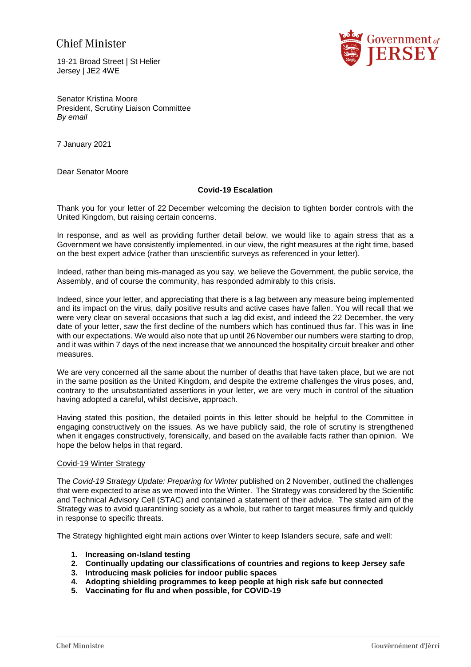# **Chief Minister**

19-21 Broad Street | St Helier Jersey | JE2 4WE



Senator Kristina Moore President, Scrutiny Liaison Committee *By email*

7 January 2021

Dear Senator Moore

# **Covid-19 Escalation**

Thank you for your letter of 22 December welcoming the decision to tighten border controls with the United Kingdom, but raising certain concerns.

In response, and as well as providing further detail below, we would like to again stress that as a Government we have consistently implemented, in our view, the right measures at the right time, based on the best expert advice (rather than unscientific surveys as referenced in your letter).

Indeed, rather than being mis-managed as you say, we believe the Government, the public service, the Assembly, and of course the community, has responded admirably to this crisis.

Indeed, since your letter, and appreciating that there is a lag between any measure being implemented and its impact on the virus, daily positive results and active cases have fallen. You will recall that we were very clear on several occasions that such a lag did exist, and indeed the 22 December, the very date of your letter, saw the first decline of the numbers which has continued thus far. This was in line with our expectations. We would also note that up until 26 November our numbers were starting to drop, and it was within 7 days of the next increase that we announced the hospitality circuit breaker and other measures.

We are very concerned all the same about the number of deaths that have taken place, but we are not in the same position as the United Kingdom, and despite the extreme challenges the virus poses, and, contrary to the unsubstantiated assertions in your letter, we are very much in control of the situation having adopted a careful, whilst decisive, approach.

Having stated this position, the detailed points in this letter should be helpful to the Committee in engaging constructively on the issues. As we have publicly said, the role of scrutiny is strengthened when it engages constructively, forensically, and based on the available facts rather than opinion. We hope the below helps in that regard.

# Covid-19 Winter Strategy

The *Covid-19 Strategy Update: Preparing for Winter* published on 2 November, outlined the challenges that were expected to arise as we moved into the Winter. The Strategy was considered by the Scientific and Technical Advisory Cell (STAC) and contained a statement of their advice. The stated aim of the Strategy was to avoid quarantining society as a whole, but rather to target measures firmly and quickly in response to specific threats.

The Strategy highlighted eight main actions over Winter to keep Islanders secure, safe and well:

- **1. Increasing on-Island testing**
- **2. Continually updating our classifications of countries and regions to keep Jersey safe**
- **3. Introducing mask policies for indoor public spaces**
- **4. Adopting shielding programmes to keep people at high risk safe but connected**
- **5. Vaccinating for flu and when possible, for COVID-19**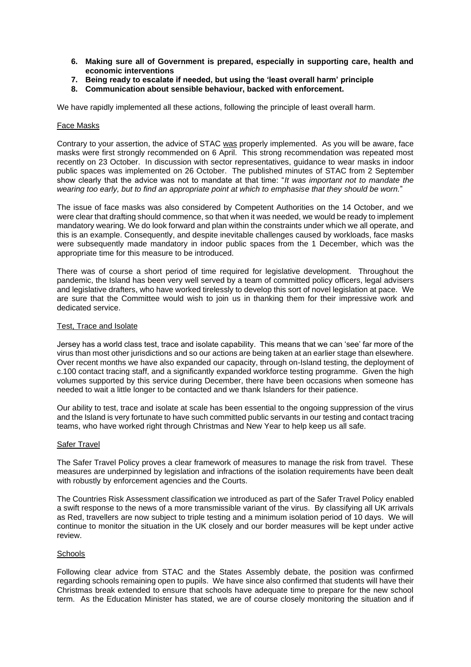- **6. Making sure all of Government is prepared, especially in supporting care, health and economic interventions**
- **7. Being ready to escalate if needed, but using the 'least overall harm' principle**
- **8. Communication about sensible behaviour, backed with enforcement.**

We have rapidly implemented all these actions, following the principle of least overall harm.

## Face Masks

Contrary to your assertion, the advice of STAC was properly implemented. As you will be aware, face masks were first strongly recommended on 6 April. This strong recommendation was repeated most recently on 23 October. In discussion with sector representatives, guidance to wear masks in indoor public spaces was implemented on 26 October. The published minutes of STAC from 2 September show clearly that the advice was not to mandate at that time: "*It was important not to mandate the wearing too early, but to find an appropriate point at which to emphasise that they should be worn.*"

The issue of face masks was also considered by Competent Authorities on the 14 October, and we were clear that drafting should commence, so that when it was needed, we would be ready to implement mandatory wearing. We do look forward and plan within the constraints under which we all operate, and this is an example. Consequently, and despite inevitable challenges caused by workloads, face masks were subsequently made mandatory in indoor public spaces from the 1 December, which was the appropriate time for this measure to be introduced.

There was of course a short period of time required for legislative development. Throughout the pandemic, the Island has been very well served by a team of committed policy officers, legal advisers and legislative drafters, who have worked tirelessly to develop this sort of novel legislation at pace. We are sure that the Committee would wish to join us in thanking them for their impressive work and dedicated service.

# Test, Trace and Isolate

Jersey has a world class test, trace and isolate capability. This means that we can 'see' far more of the virus than most other jurisdictions and so our actions are being taken at an earlier stage than elsewhere. Over recent months we have also expanded our capacity, through on-Island testing, the deployment of c.100 contact tracing staff, and a significantly expanded workforce testing programme. Given the high volumes supported by this service during December, there have been occasions when someone has needed to wait a little longer to be contacted and we thank Islanders for their patience.

Our ability to test, trace and isolate at scale has been essential to the ongoing suppression of the virus and the Island is very fortunate to have such committed public servants in our testing and contact tracing teams, who have worked right through Christmas and New Year to help keep us all safe.

#### Safer Travel

The Safer Travel Policy proves a clear framework of measures to manage the risk from travel. These measures are underpinned by legislation and infractions of the isolation requirements have been dealt with robustly by enforcement agencies and the Courts.

The Countries Risk Assessment classification we introduced as part of the Safer Travel Policy enabled a swift response to the news of a more transmissible variant of the virus. By classifying all UK arrivals as Red, travellers are now subject to triple testing and a minimum isolation period of 10 days. We will continue to monitor the situation in the UK closely and our border measures will be kept under active review.

## **Schools**

Following clear advice from STAC and the States Assembly debate, the position was confirmed regarding schools remaining open to pupils. We have since also confirmed that students will have their Christmas break extended to ensure that schools have adequate time to prepare for the new school term. As the Education Minister has stated, we are of course closely monitoring the situation and if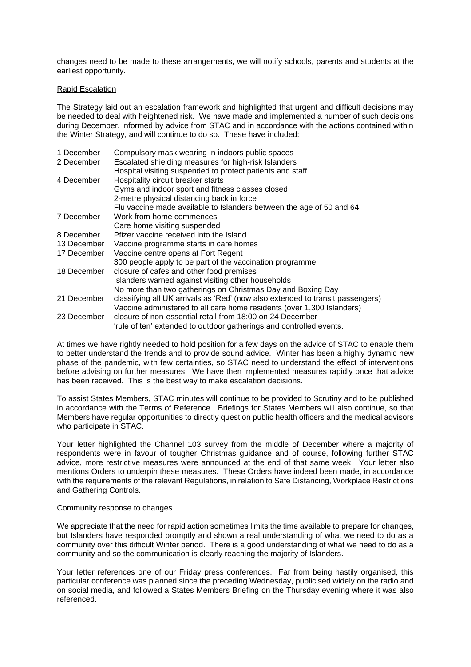changes need to be made to these arrangements, we will notify schools, parents and students at the earliest opportunity.

### Rapid Escalation

The Strategy laid out an escalation framework and highlighted that urgent and difficult decisions may be needed to deal with heightened risk. We have made and implemented a number of such decisions during December, informed by advice from STAC and in accordance with the actions contained within the Winter Strategy, and will continue to do so. These have included:

| 1 December  | Compulsory mask wearing in indoors public spaces                               |
|-------------|--------------------------------------------------------------------------------|
| 2 December  | Escalated shielding measures for high-risk Islanders                           |
|             | Hospital visiting suspended to protect patients and staff                      |
| 4 December  | Hospitality circuit breaker starts                                             |
|             | Gyms and indoor sport and fitness classes closed                               |
|             | 2-metre physical distancing back in force                                      |
|             | Flu vaccine made available to Islanders between the age of 50 and 64           |
| 7 December  | Work from home commences                                                       |
|             | Care home visiting suspended                                                   |
| 8 December  | Pfizer vaccine received into the Island                                        |
| 13 December | Vaccine programme starts in care homes                                         |
| 17 December | Vaccine centre opens at Fort Regent                                            |
|             | 300 people apply to be part of the vaccination programme                       |
| 18 December | closure of cafes and other food premises                                       |
|             | Islanders warned against visiting other households                             |
|             | No more than two gatherings on Christmas Day and Boxing Day                    |
| 21 December | classifying all UK arrivals as 'Red' (now also extended to transit passengers) |
|             | Vaccine administered to all care home residents (over 1,300 Islanders)         |
| 23 December | closure of non-essential retail from 18:00 on 24 December                      |
|             | 'rule of ten' extended to outdoor gatherings and controlled events.            |

At times we have rightly needed to hold position for a few days on the advice of STAC to enable them to better understand the trends and to provide sound advice. Winter has been a highly dynamic new phase of the pandemic, with few certainties, so STAC need to understand the effect of interventions before advising on further measures. We have then implemented measures rapidly once that advice has been received. This is the best way to make escalation decisions.

To assist States Members, STAC minutes will continue to be provided to Scrutiny and to be published in accordance with the Terms of Reference. Briefings for States Members will also continue, so that Members have regular opportunities to directly question public health officers and the medical advisors who participate in STAC.

Your letter highlighted the Channel 103 survey from the middle of December where a majority of respondents were in favour of tougher Christmas guidance and of course, following further STAC advice, more restrictive measures were announced at the end of that same week. Your letter also mentions Orders to underpin these measures. These Orders have indeed been made, in accordance with the requirements of the relevant Regulations, in relation to Safe Distancing, Workplace Restrictions and Gathering Controls.

#### Community response to changes

We appreciate that the need for rapid action sometimes limits the time available to prepare for changes, but Islanders have responded promptly and shown a real understanding of what we need to do as a community over this difficult Winter period. There is a good understanding of what we need to do as a community and so the communication is clearly reaching the majority of Islanders.

Your letter references one of our Friday press conferences. Far from being hastily organised, this particular conference was planned since the preceding Wednesday, publicised widely on the radio and on social media, and followed a States Members Briefing on the Thursday evening where it was also referenced.